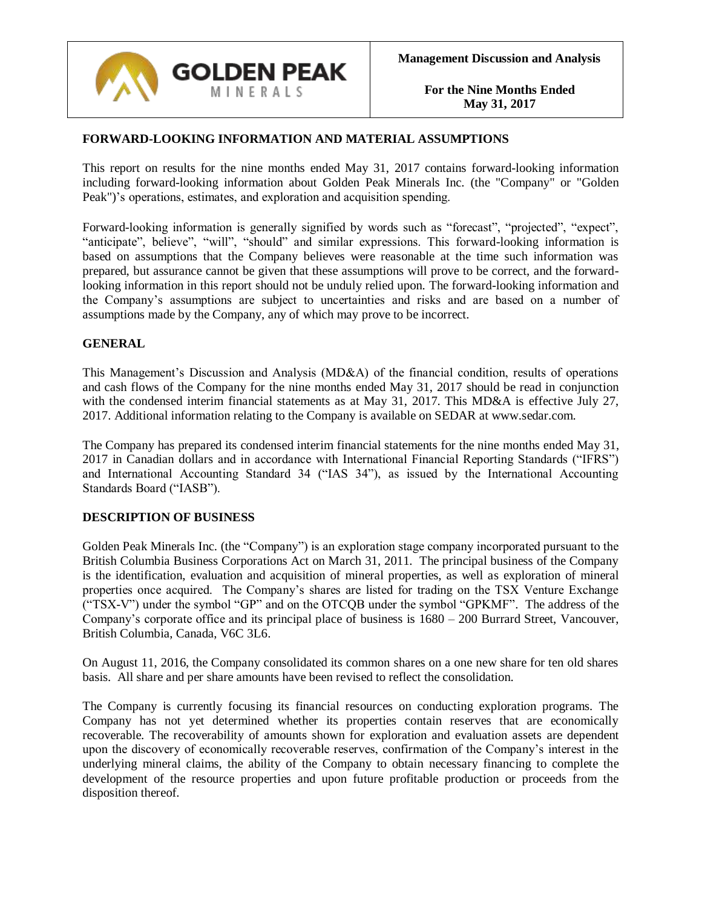

## **FORWARD-LOOKING INFORMATION AND MATERIAL ASSUMPTIONS**

This report on results for the nine months ended May 31, 2017 contains forward-looking information including forward-looking information about Golden Peak Minerals Inc. (the "Company" or "Golden Peak")'s operations, estimates, and exploration and acquisition spending.

Forward-looking information is generally signified by words such as "forecast", "projected", "expect", "anticipate", believe", "will", "should" and similar expressions. This forward-looking information is based on assumptions that the Company believes were reasonable at the time such information was prepared, but assurance cannot be given that these assumptions will prove to be correct, and the forwardlooking information in this report should not be unduly relied upon. The forward-looking information and the Company's assumptions are subject to uncertainties and risks and are based on a number of assumptions made by the Company, any of which may prove to be incorrect.

## **GENERAL**

This Management's Discussion and Analysis (MD&A) of the financial condition, results of operations and cash flows of the Company for the nine months ended May 31, 2017 should be read in conjunction with the condensed interim financial statements as at May 31, 2017. This MD&A is effective July 27, 2017. Additional information relating to the Company is available on SEDAR at www.sedar.com.

The Company has prepared its condensed interim financial statements for the nine months ended May 31, 2017 in Canadian dollars and in accordance with International Financial Reporting Standards ("IFRS") and International Accounting Standard 34 ("IAS 34"), as issued by the International Accounting Standards Board ("IASB").

#### **DESCRIPTION OF BUSINESS**

Golden Peak Minerals Inc. (the "Company") is an exploration stage company incorporated pursuant to the British Columbia Business Corporations Act on March 31, 2011. The principal business of the Company is the identification, evaluation and acquisition of mineral properties, as well as exploration of mineral properties once acquired. The Company's shares are listed for trading on the TSX Venture Exchange ("TSX-V") under the symbol "GP" and on the OTCQB under the symbol "GPKMF". The address of the Company's corporate office and its principal place of business is 1680 – 200 Burrard Street, Vancouver, British Columbia, Canada, V6C 3L6.

On August 11, 2016, the Company consolidated its common shares on a one new share for ten old shares basis. All share and per share amounts have been revised to reflect the consolidation.

The Company is currently focusing its financial resources on conducting exploration programs. The Company has not yet determined whether its properties contain reserves that are economically recoverable. The recoverability of amounts shown for exploration and evaluation assets are dependent upon the discovery of economically recoverable reserves, confirmation of the Company's interest in the underlying mineral claims, the ability of the Company to obtain necessary financing to complete the development of the resource properties and upon future profitable production or proceeds from the disposition thereof.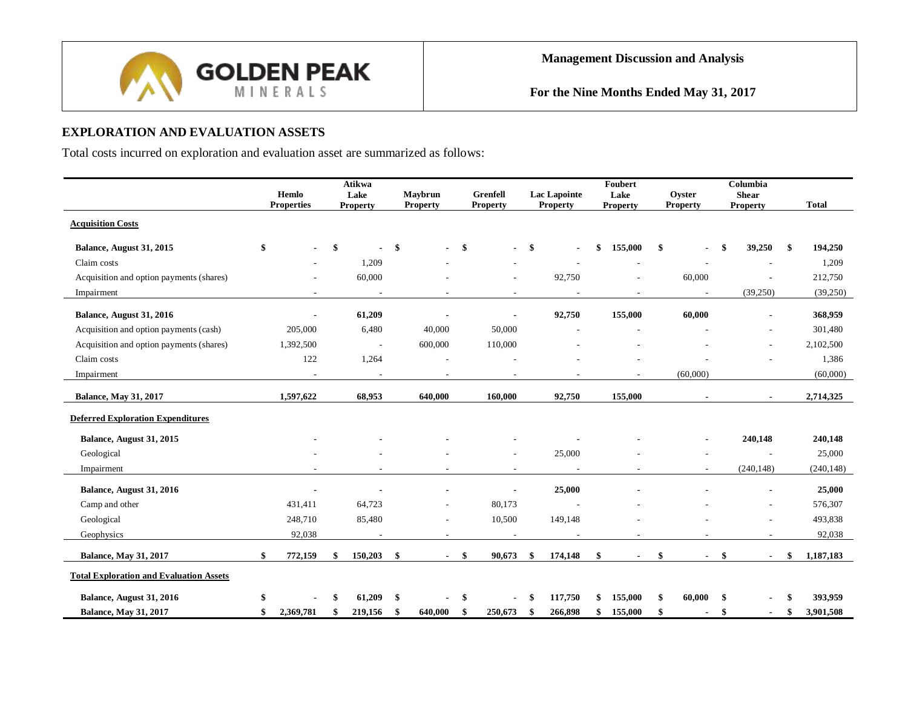

# **EXPLORATION AND EVALUATION ASSETS**

Total costs incurred on exploration and evaluation asset are summarized as follows:

|                                                | Hemlo<br><b>Properties</b> | <b>Atikwa</b><br>Lake<br><b>Property</b> |               | Maybrun<br><b>Property</b> |      | Grenfell<br><b>Property</b> |     | <b>Lac Lapointe</b><br><b>Property</b> | Foubert<br>Lake<br>Property | Oyster<br><b>Property</b> | Columbia<br><b>Shear</b><br><b>Property</b> | <b>Total</b>    |
|------------------------------------------------|----------------------------|------------------------------------------|---------------|----------------------------|------|-----------------------------|-----|----------------------------------------|-----------------------------|---------------------------|---------------------------------------------|-----------------|
| <b>Acquisition Costs</b>                       |                            |                                          |               |                            |      |                             |     |                                        |                             |                           |                                             |                 |
| Balance, August 31, 2015                       |                            | \$                                       | \$            |                            | -\$  |                             | -\$ | $\sim$                                 | \$<br>155,000               | \$                        | 39,250                                      | \$<br>194,250   |
| Claim costs                                    |                            | 1,209                                    |               |                            |      |                             |     |                                        |                             |                           |                                             | 1,209           |
| Acquisition and option payments (shares)       |                            | 60,000                                   |               |                            |      | $\blacksquare$              |     | 92,750                                 |                             | 60,000                    |                                             | 212,750         |
| Impairment                                     | $\overline{\phantom{a}}$   | $\overline{\phantom{a}}$                 |               |                            |      | $\overline{\phantom{a}}$    |     |                                        |                             |                           | (39,250)                                    | (39,250)        |
| Balance, August 31, 2016                       |                            | 61,209                                   |               |                            |      |                             |     | 92,750                                 | 155,000                     | 60,000                    |                                             | 368,959         |
| Acquisition and option payments (cash)         | 205,000                    | 6,480                                    |               | 40,000                     |      | 50,000                      |     |                                        |                             |                           |                                             | 301,480         |
| Acquisition and option payments (shares)       | 1,392,500                  | $\sim$                                   |               | 600,000                    |      | 110,000                     |     |                                        |                             |                           |                                             | 2,102,500       |
| Claim costs                                    | 122                        | 1,264                                    |               |                            |      |                             |     |                                        |                             |                           |                                             | 1,386           |
| Impairment                                     |                            | $\sim$                                   |               |                            |      |                             |     |                                        |                             | (60,000)                  |                                             | (60,000)        |
| <b>Balance, May 31, 2017</b>                   | 1,597,622                  | 68,953                                   |               | 640,000                    |      | 160,000                     |     | 92,750                                 | 155,000                     |                           |                                             | 2,714,325       |
| <b>Deferred Exploration Expenditures</b>       |                            |                                          |               |                            |      |                             |     |                                        |                             |                           |                                             |                 |
| Balance, August 31, 2015                       |                            |                                          |               |                            |      |                             |     |                                        |                             |                           | 240,148                                     | 240,148         |
| Geological                                     |                            |                                          |               |                            |      |                             |     | 25,000                                 |                             |                           |                                             | 25,000          |
| Impairment                                     | $\overline{\phantom{a}}$   | $\overline{\phantom{a}}$                 |               | $\overline{\phantom{a}}$   |      | $\overline{\phantom{a}}$    |     | $\sim$                                 | $\sim$                      | $\overline{\phantom{a}}$  | (240, 148)                                  | (240, 148)      |
| Balance, August 31, 2016                       |                            |                                          |               |                            |      | $\blacksquare$              |     | 25,000                                 |                             |                           |                                             | 25,000          |
| Camp and other                                 | 431,411                    | 64,723                                   |               |                            |      | 80,173                      |     |                                        |                             |                           |                                             | 576,307         |
| Geological                                     | 248,710                    | 85,480                                   |               |                            |      | 10,500                      |     | 149,148                                |                             |                           |                                             | 493,838         |
| Geophysics                                     | 92,038                     | $\overline{\phantom{a}}$                 |               | $\sim$                     |      | $\overline{\phantom{a}}$    |     |                                        |                             |                           |                                             | 92,038          |
| <b>Balance, May 31, 2017</b>                   | 772,159                    | \$<br>150,203                            | $\mathbf{\$}$ |                            | - \$ | 90,673                      | -\$ | 174,148                                | \$<br>$\blacksquare$        | \$                        | \$                                          | \$<br>1,187,183 |
| <b>Total Exploration and Evaluation Assets</b> |                            |                                          |               |                            |      |                             |     |                                        |                             |                           |                                             |                 |
| Balance, August 31, 2016                       |                            | 61.209                                   | \$            |                            |      |                             |     | 117,750                                | \$<br>155,000               | \$<br>60,000              | \$                                          | \$<br>393,959   |
| <b>Balance, May 31, 2017</b>                   | \$<br>2,369,781            | \$<br>219,156                            | \$            | 640,000                    | -\$  | 250,673                     | S   | 266,898                                | \$<br>155,000               | \$                        |                                             | \$<br>3,901,508 |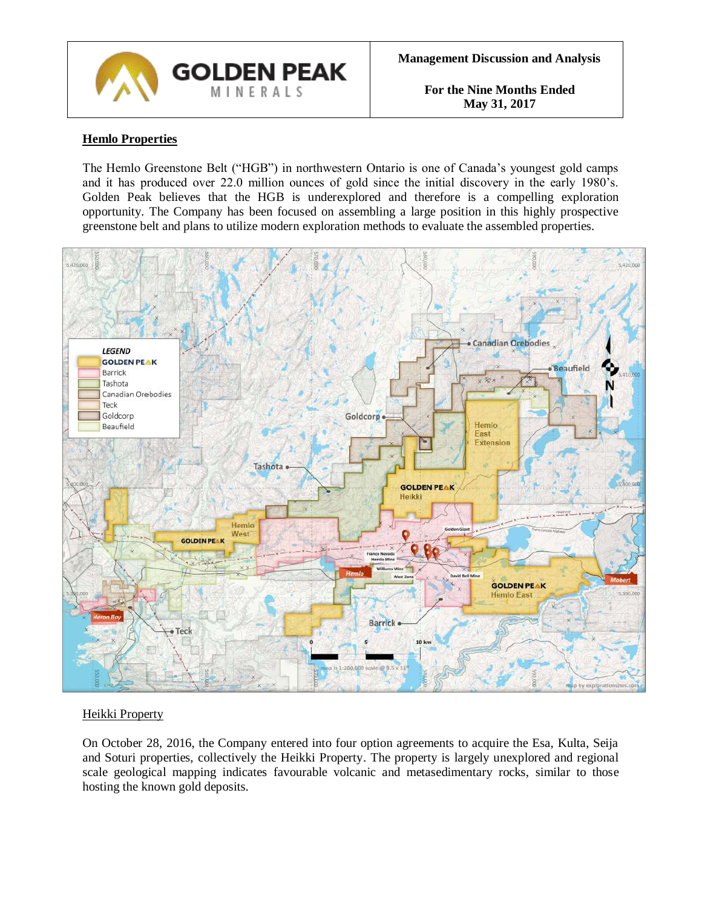

# **Hemlo Properties**

The Hemlo Greenstone Belt ("HGB") in northwestern Ontario is one of Canada's youngest gold camps and it has produced over 22.0 million ounces of gold since the initial discovery in the early 1980's. Golden Peak believes that the HGB is underexplored and therefore is a compelling exploration opportunity. The Company has been focused on assembling a large position in this highly prospective greenstone belt and plans to utilize modern exploration methods to evaluate the assembled properties.



## Heikki Property

On October 28, 2016, the Company entered into four option agreements to acquire the Esa, Kulta, Seija and Soturi properties, collectively the Heikki Property. The property is largely unexplored and regional scale geological mapping indicates favourable volcanic and metasedimentary rocks, similar to those hosting the known gold deposits.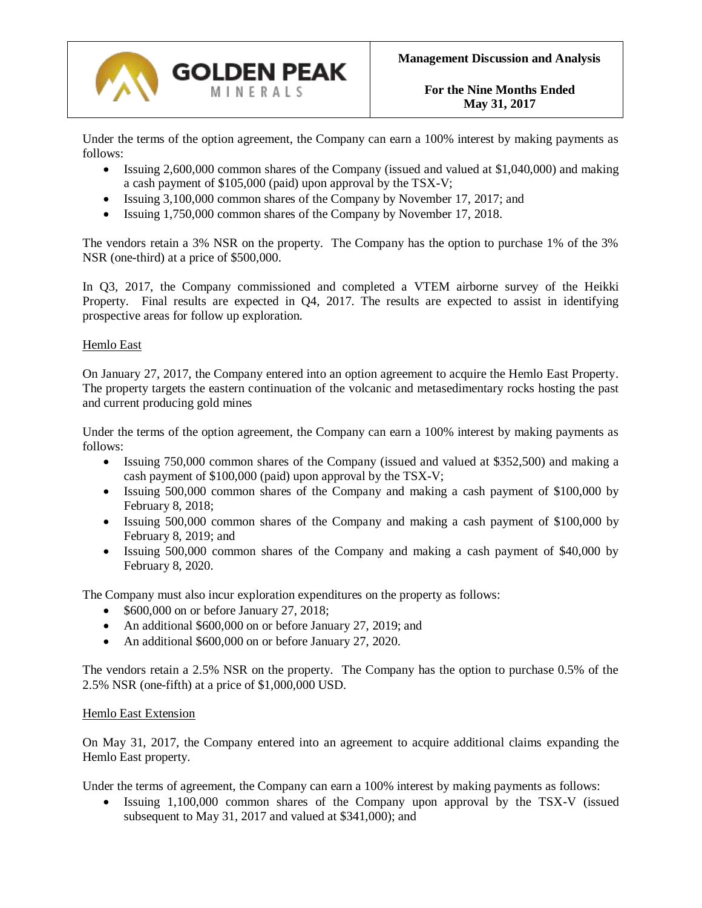

Under the terms of the option agreement, the Company can earn a 100% interest by making payments as follows:

- Issuing 2,600,000 common shares of the Company (issued and valued at \$1,040,000) and making a cash payment of \$105,000 (paid) upon approval by the TSX-V;
- Issuing 3,100,000 common shares of the Company by November 17, 2017; and
- Issuing 1,750,000 common shares of the Company by November 17, 2018.

The vendors retain a 3% NSR on the property. The Company has the option to purchase 1% of the 3% NSR (one-third) at a price of \$500,000.

In Q3, 2017, the Company commissioned and completed a VTEM airborne survey of the Heikki Property. Final results are expected in Q4, 2017. The results are expected to assist in identifying prospective areas for follow up exploration.

## Hemlo East

On January 27, 2017, the Company entered into an option agreement to acquire the Hemlo East Property. The property targets the eastern continuation of the volcanic and metasedimentary rocks hosting the past and current producing gold mines

Under the terms of the option agreement, the Company can earn a 100% interest by making payments as follows:

- Issuing 750,000 common shares of the Company (issued and valued at \$352,500) and making a cash payment of \$100,000 (paid) upon approval by the TSX-V;
- Issuing 500,000 common shares of the Company and making a cash payment of \$100,000 by February 8, 2018;
- Issuing 500,000 common shares of the Company and making a cash payment of \$100,000 by February 8, 2019; and
- Issuing 500,000 common shares of the Company and making a cash payment of \$40,000 by February 8, 2020.

The Company must also incur exploration expenditures on the property as follows:

- \$600,000 on or before January 27, 2018;
- An additional \$600,000 on or before January 27, 2019; and
- An additional \$600,000 on or before January 27, 2020.

The vendors retain a 2.5% NSR on the property. The Company has the option to purchase 0.5% of the 2.5% NSR (one-fifth) at a price of \$1,000,000 USD.

#### Hemlo East Extension

On May 31, 2017, the Company entered into an agreement to acquire additional claims expanding the Hemlo East property.

Under the terms of agreement, the Company can earn a 100% interest by making payments as follows:

• Issuing 1,100,000 common shares of the Company upon approval by the TSX-V (issued subsequent to May 31, 2017 and valued at \$341,000); and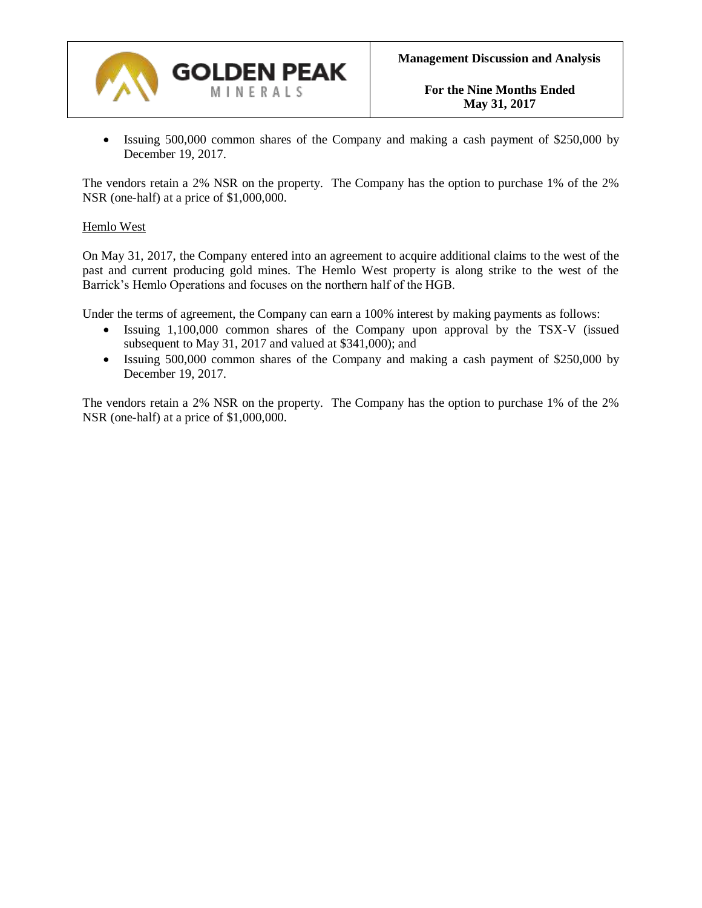

• Issuing 500,000 common shares of the Company and making a cash payment of \$250,000 by December 19, 2017.

The vendors retain a 2% NSR on the property. The Company has the option to purchase 1% of the 2% NSR (one-half) at a price of \$1,000,000.

#### Hemlo West

On May 31, 2017, the Company entered into an agreement to acquire additional claims to the west of the past and current producing gold mines. The Hemlo West property is along strike to the west of the Barrick's Hemlo Operations and focuses on the northern half of the HGB.

Under the terms of agreement, the Company can earn a 100% interest by making payments as follows:

- Issuing 1,100,000 common shares of the Company upon approval by the TSX-V (issued subsequent to May 31, 2017 and valued at \$341,000); and
- Issuing 500,000 common shares of the Company and making a cash payment of \$250,000 by December 19, 2017.

The vendors retain a 2% NSR on the property. The Company has the option to purchase 1% of the 2% NSR (one-half) at a price of \$1,000,000.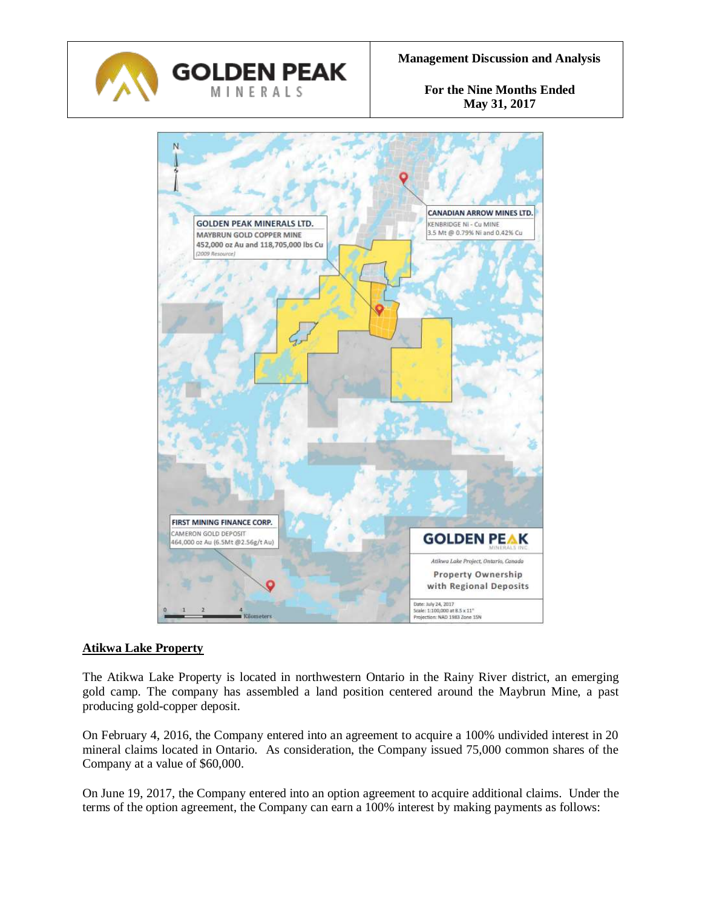



## **Atikwa Lake Property**

The Atikwa Lake Property is located in northwestern Ontario in the Rainy River district, an emerging gold camp. The company has assembled a land position centered around the Maybrun Mine, a past producing gold-copper deposit.

On February 4, 2016, the Company entered into an agreement to acquire a 100% undivided interest in 20 mineral claims located in Ontario. As consideration, the Company issued 75,000 common shares of the Company at a value of \$60,000.

On June 19, 2017, the Company entered into an option agreement to acquire additional claims. Under the terms of the option agreement, the Company can earn a 100% interest by making payments as follows: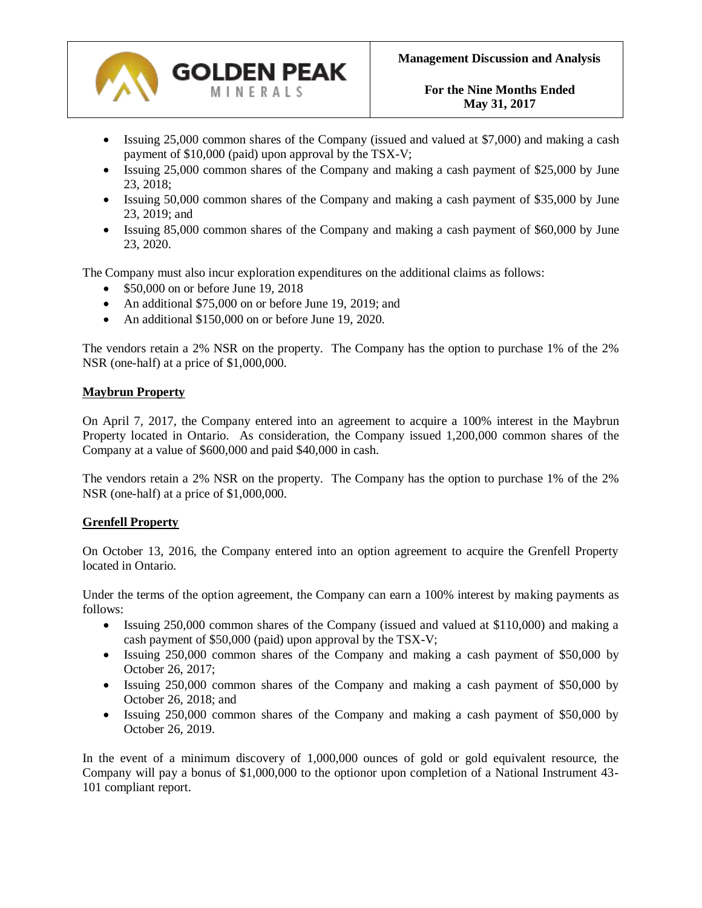

- Issuing 25,000 common shares of the Company (issued and valued at \$7,000) and making a cash payment of \$10,000 (paid) upon approval by the TSX-V;
- Issuing 25,000 common shares of the Company and making a cash payment of \$25,000 by June 23, 2018;
- Issuing 50,000 common shares of the Company and making a cash payment of \$35,000 by June 23, 2019; and
- Issuing 85,000 common shares of the Company and making a cash payment of \$60,000 by June 23, 2020.

The Company must also incur exploration expenditures on the additional claims as follows:

- \$50,000 on or before June 19, 2018
- An additional \$75,000 on or before June 19, 2019; and
- An additional \$150,000 on or before June 19, 2020.

The vendors retain a 2% NSR on the property. The Company has the option to purchase 1% of the 2% NSR (one-half) at a price of \$1,000,000.

#### **Maybrun Property**

On April 7, 2017, the Company entered into an agreement to acquire a 100% interest in the Maybrun Property located in Ontario. As consideration, the Company issued 1,200,000 common shares of the Company at a value of \$600,000 and paid \$40,000 in cash.

The vendors retain a 2% NSR on the property. The Company has the option to purchase 1% of the 2% NSR (one-half) at a price of \$1,000,000.

#### **Grenfell Property**

On October 13, 2016, the Company entered into an option agreement to acquire the Grenfell Property located in Ontario.

Under the terms of the option agreement, the Company can earn a 100% interest by making payments as follows:

- Issuing 250,000 common shares of the Company (issued and valued at \$110,000) and making a cash payment of \$50,000 (paid) upon approval by the TSX-V;
- Issuing 250,000 common shares of the Company and making a cash payment of \$50,000 by October 26, 2017;
- Issuing 250,000 common shares of the Company and making a cash payment of \$50,000 by October 26, 2018; and
- Issuing 250,000 common shares of the Company and making a cash payment of \$50,000 by October 26, 2019.

In the event of a minimum discovery of 1,000,000 ounces of gold or gold equivalent resource, the Company will pay a bonus of \$1,000,000 to the optionor upon completion of a National Instrument 43- 101 compliant report.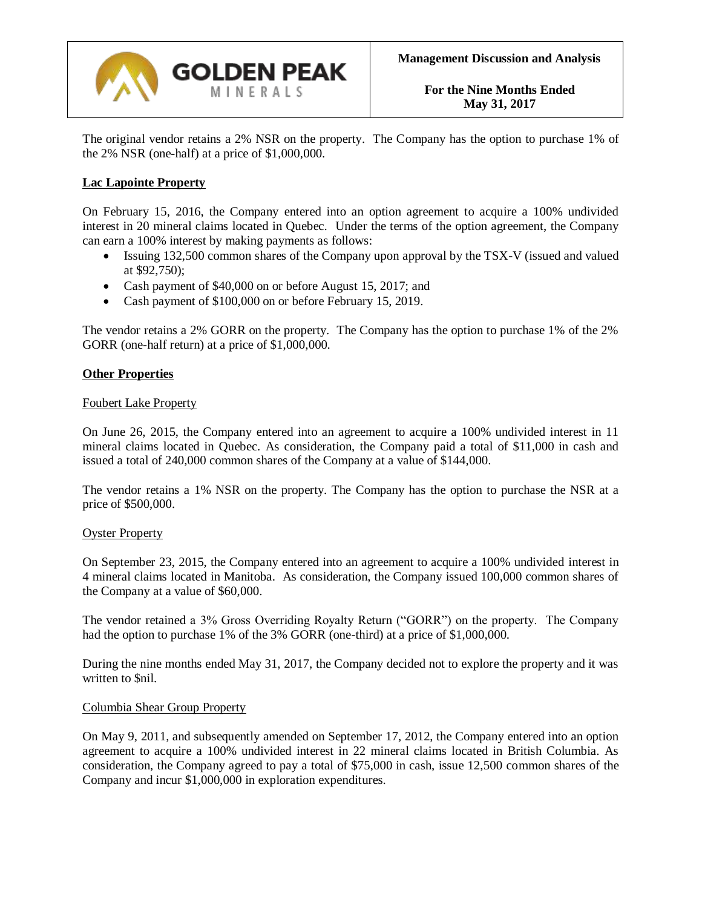

The original vendor retains a 2% NSR on the property. The Company has the option to purchase 1% of the 2% NSR (one-half) at a price of \$1,000,000.

## **Lac Lapointe Property**

On February 15, 2016, the Company entered into an option agreement to acquire a 100% undivided interest in 20 mineral claims located in Quebec. Under the terms of the option agreement, the Company can earn a 100% interest by making payments as follows:

- Issuing 132,500 common shares of the Company upon approval by the TSX-V (issued and valued at \$92,750);
- Cash payment of \$40,000 on or before August 15, 2017; and
- Cash payment of \$100,000 on or before February 15, 2019.

The vendor retains a 2% GORR on the property. The Company has the option to purchase 1% of the 2% GORR (one-half return) at a price of \$1,000,000.

#### **Other Properties**

#### Foubert Lake Property

On June 26, 2015, the Company entered into an agreement to acquire a 100% undivided interest in 11 mineral claims located in Quebec. As consideration, the Company paid a total of \$11,000 in cash and issued a total of 240,000 common shares of the Company at a value of \$144,000.

The vendor retains a 1% NSR on the property. The Company has the option to purchase the NSR at a price of \$500,000.

#### Oyster Property

On September 23, 2015, the Company entered into an agreement to acquire a 100% undivided interest in 4 mineral claims located in Manitoba. As consideration, the Company issued 100,000 common shares of the Company at a value of \$60,000.

The vendor retained a 3% Gross Overriding Royalty Return ("GORR") on the property. The Company had the option to purchase 1% of the 3% GORR (one-third) at a price of \$1,000,000.

During the nine months ended May 31, 2017, the Company decided not to explore the property and it was written to \$nil.

#### Columbia Shear Group Property

On May 9, 2011, and subsequently amended on September 17, 2012, the Company entered into an option agreement to acquire a 100% undivided interest in 22 mineral claims located in British Columbia. As consideration, the Company agreed to pay a total of \$75,000 in cash, issue 12,500 common shares of the Company and incur \$1,000,000 in exploration expenditures.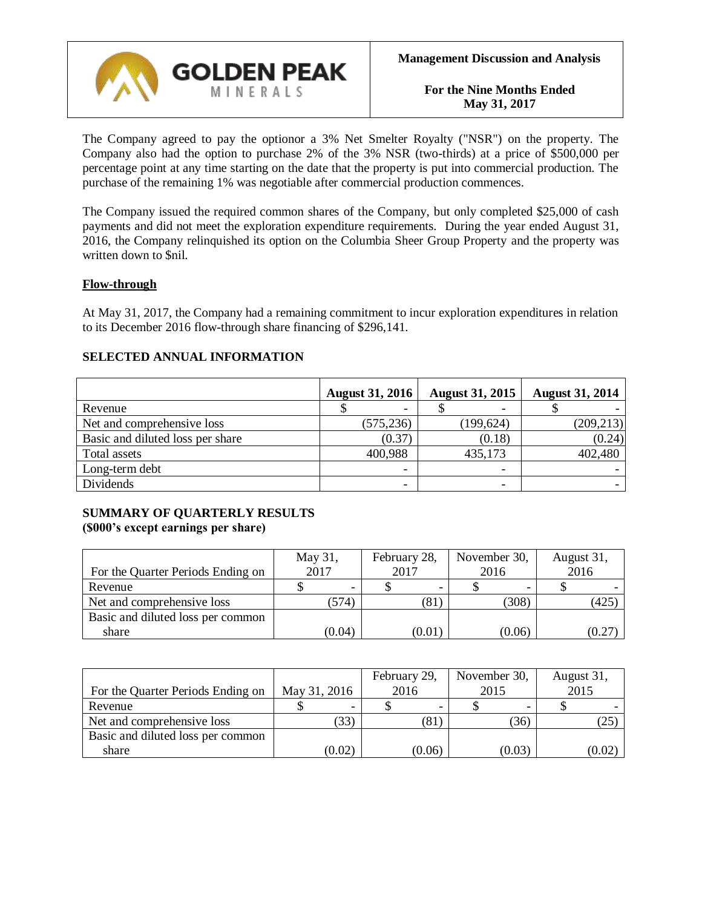

The Company agreed to pay the optionor a 3% Net Smelter Royalty ("NSR") on the property. The Company also had the option to purchase 2% of the 3% NSR (two-thirds) at a price of \$500,000 per percentage point at any time starting on the date that the property is put into commercial production. The purchase of the remaining 1% was negotiable after commercial production commences.

The Company issued the required common shares of the Company, but only completed \$25,000 of cash payments and did not meet the exploration expenditure requirements. During the year ended August 31, 2016, the Company relinquished its option on the Columbia Sheer Group Property and the property was written down to \$nil.

## **Flow-through**

At May 31, 2017, the Company had a remaining commitment to incur exploration expenditures in relation to its December 2016 flow-through share financing of \$296,141.

|                                  | <b>August 31, 2016</b> | <b>August 31, 2015</b>   | <b>August 31, 2014</b> |
|----------------------------------|------------------------|--------------------------|------------------------|
| Revenue                          |                        | $\overline{\phantom{0}}$ |                        |
| Net and comprehensive loss       | (575, 236)             | (199, 624)               | (209, 213)             |
| Basic and diluted loss per share | (0.37)                 | (0.18)                   | (0.24)                 |
| Total assets                     | 400,988                | 435,173                  | 402,480                |
| Long-term debt                   |                        |                          |                        |
| Dividends                        |                        |                          |                        |

## **SELECTED ANNUAL INFORMATION**

## **SUMMARY OF QUARTERLY RESULTS (\$000's except earnings per share)**

| For the Quarter Periods Ending on | May 31,<br>2017 | February 28,<br>2017 | November 30,<br>2016 | August 31,<br>2016 |  |
|-----------------------------------|-----------------|----------------------|----------------------|--------------------|--|
| Revenue                           |                 |                      |                      |                    |  |
| Net and comprehensive loss        | (574)           | (81)                 | (308)                | (425               |  |
| Basic and diluted loss per common |                 |                      |                      |                    |  |
| share                             | (0.04)          | (0.01)               | (0.06)               | (0.27)             |  |

| For the Quarter Periods Ending on | May 31, 2016 | February 29,<br>2016 | November 30,<br>2015 | August 31,<br>2015 |  |
|-----------------------------------|--------------|----------------------|----------------------|--------------------|--|
| Revenue                           |              |                      |                      |                    |  |
| Net and comprehensive loss        | (33)         | (81`                 | (36)                 | (25                |  |
| Basic and diluted loss per common |              |                      |                      |                    |  |
| share                             | (0.02)       | (0.06)               | (0.03)               | (0.02)             |  |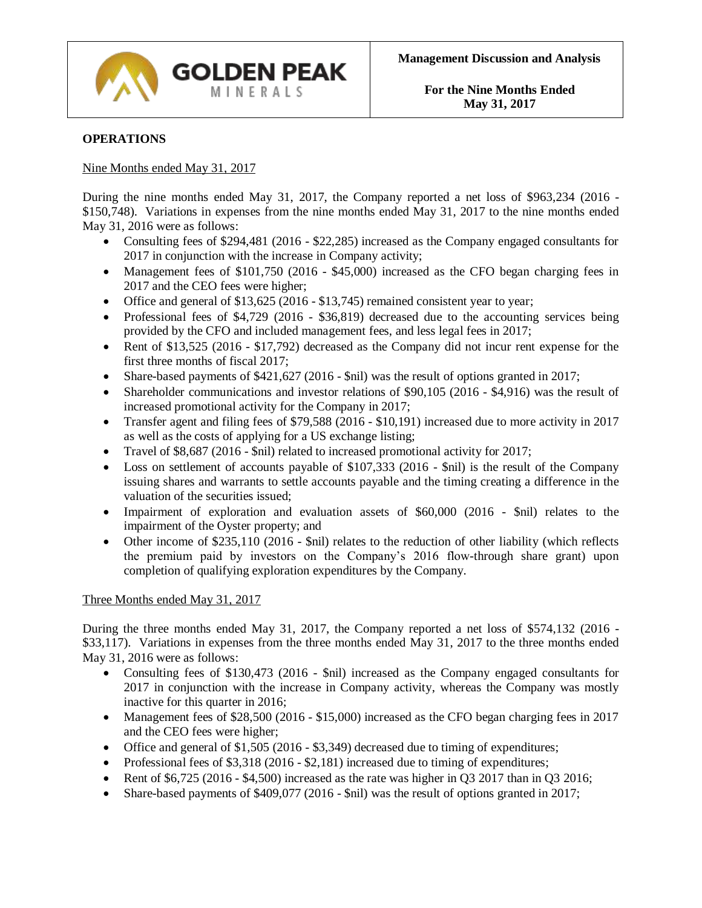

## **OPERATIONS**

#### Nine Months ended May 31, 2017

During the nine months ended May 31, 2017, the Company reported a net loss of \$963,234 (2016 - \$150,748). Variations in expenses from the nine months ended May 31, 2017 to the nine months ended May 31, 2016 were as follows:

- Consulting fees of \$294,481 (2016 \$22,285) increased as the Company engaged consultants for 2017 in conjunction with the increase in Company activity;
- Management fees of \$101,750 (2016 \$45,000) increased as the CFO began charging fees in 2017 and the CEO fees were higher;
- Office and general of \$13,625 (2016 \$13,745) remained consistent year to year;
- Professional fees of \$4,729 (2016 \$36,819) decreased due to the accounting services being provided by the CFO and included management fees, and less legal fees in 2017;
- Rent of \$13,525 (2016 \$17,792) decreased as the Company did not incur rent expense for the first three months of fiscal 2017;
- Share-based payments of \$421,627 (2016 \$nil) was the result of options granted in 2017;
- Shareholder communications and investor relations of \$90,105 (2016 \$4,916) was the result of increased promotional activity for the Company in 2017;
- Transfer agent and filing fees of \$79,588 (2016 \$10,191) increased due to more activity in 2017 as well as the costs of applying for a US exchange listing;
- Travel of \$8,687 (2016 \$nil) related to increased promotional activity for 2017;
- Loss on settlement of accounts payable of \$107,333 (2016 \$nil) is the result of the Company issuing shares and warrants to settle accounts payable and the timing creating a difference in the valuation of the securities issued;
- Impairment of exploration and evaluation assets of \$60,000 (2016 \$nil) relates to the impairment of the Oyster property; and
- Other income of \$235,110 (2016 \$nil) relates to the reduction of other liability (which reflects the premium paid by investors on the Company's 2016 flow-through share grant) upon completion of qualifying exploration expenditures by the Company.

#### Three Months ended May 31, 2017

During the three months ended May 31, 2017, the Company reported a net loss of \$574,132 (2016 - \$33,117). Variations in expenses from the three months ended May 31, 2017 to the three months ended May 31, 2016 were as follows:

- Consulting fees of \$130,473 (2016 \$nil) increased as the Company engaged consultants for 2017 in conjunction with the increase in Company activity, whereas the Company was mostly inactive for this quarter in 2016;
- Management fees of \$28,500 (2016 \$15,000) increased as the CFO began charging fees in 2017 and the CEO fees were higher;
- Office and general of \$1,505 (2016 \$3,349) decreased due to timing of expenditures;
- Professional fees of  $$3,318$  (2016  $$2,181$ ) increased due to timing of expenditures;
- Rent of  $$6,725 (2016 $4,500)$  increased as the rate was higher in Q3 2017 than in Q3 2016;
- Share-based payments of \$409,077 (2016 \$nil) was the result of options granted in 2017;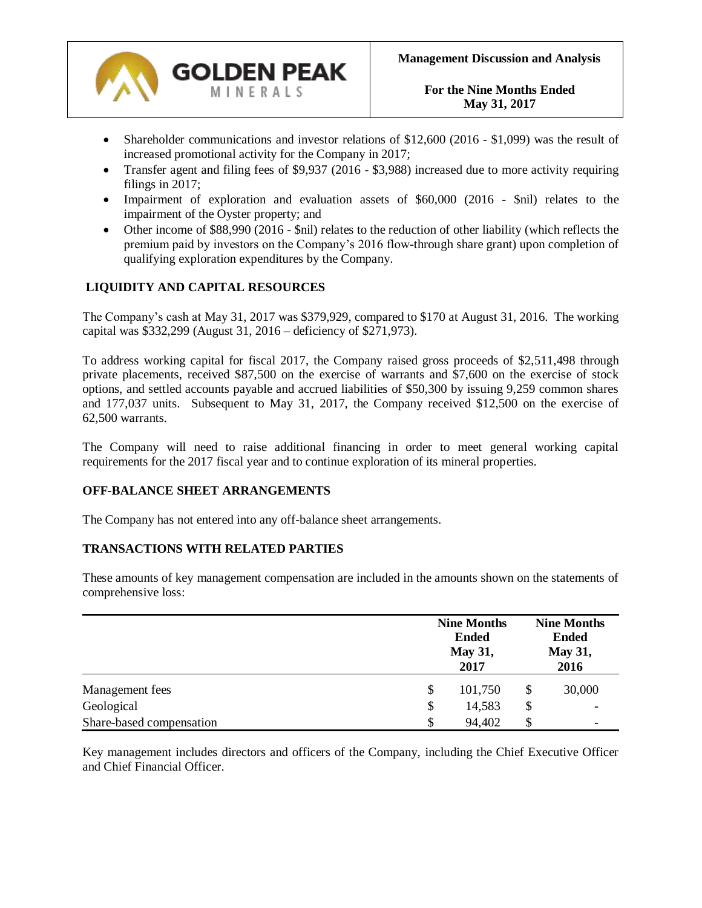

- Shareholder communications and investor relations of \$12,600 (2016 \$1,099) was the result of increased promotional activity for the Company in 2017;
- Transfer agent and filing fees of \$9,937 (2016 \$3,988) increased due to more activity requiring filings in 2017;
- Impairment of exploration and evaluation assets of \$60,000 (2016 \$nil) relates to the impairment of the Oyster property; and
- Other income of \$88,990 (2016 \$nil) relates to the reduction of other liability (which reflects the premium paid by investors on the Company's 2016 flow-through share grant) upon completion of qualifying exploration expenditures by the Company.

# **LIQUIDITY AND CAPITAL RESOURCES**

The Company's cash at May 31, 2017 was \$379,929, compared to \$170 at August 31, 2016. The working capital was \$332,299 (August 31, 2016 – deficiency of \$271,973).

To address working capital for fiscal 2017, the Company raised gross proceeds of \$2,511,498 through private placements, received \$87,500 on the exercise of warrants and \$7,600 on the exercise of stock options, and settled accounts payable and accrued liabilities of \$50,300 by issuing 9,259 common shares and 177,037 units. Subsequent to May 31, 2017, the Company received \$12,500 on the exercise of 62,500 warrants.

The Company will need to raise additional financing in order to meet general working capital requirements for the 2017 fiscal year and to continue exploration of its mineral properties.

#### **OFF-BALANCE SHEET ARRANGEMENTS**

The Company has not entered into any off-balance sheet arrangements.

#### **TRANSACTIONS WITH RELATED PARTIES**

These amounts of key management compensation are included in the amounts shown on the statements of comprehensive loss:

|                          | <b>Nine Months</b><br><b>Ended</b><br><b>May 31,</b><br>2017 |    |                          |
|--------------------------|--------------------------------------------------------------|----|--------------------------|
| Management fees          | \$<br>101,750                                                | \$ | 30,000                   |
| Geological               | \$<br>14,583                                                 | \$ |                          |
| Share-based compensation | \$<br>94,402                                                 | \$ | $\overline{\phantom{a}}$ |

Key management includes directors and officers of the Company, including the Chief Executive Officer and Chief Financial Officer.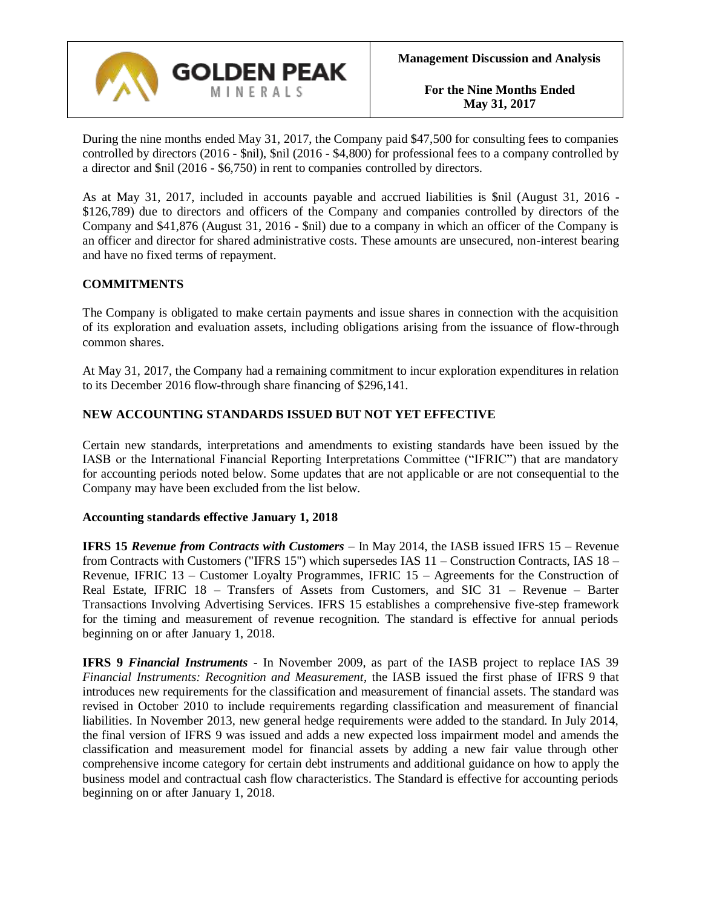

During the nine months ended May 31, 2017, the Company paid \$47,500 for consulting fees to companies controlled by directors (2016 - \$nil), \$nil (2016 - \$4,800) for professional fees to a company controlled by a director and \$nil (2016 - \$6,750) in rent to companies controlled by directors.

As at May 31, 2017, included in accounts payable and accrued liabilities is \$nil (August 31, 2016 - \$126,789) due to directors and officers of the Company and companies controlled by directors of the Company and \$41,876 (August 31, 2016 - \$nil) due to a company in which an officer of the Company is an officer and director for shared administrative costs. These amounts are unsecured, non-interest bearing and have no fixed terms of repayment.

## **COMMITMENTS**

The Company is obligated to make certain payments and issue shares in connection with the acquisition of its exploration and evaluation assets, including obligations arising from the issuance of flow-through common shares.

At May 31, 2017, the Company had a remaining commitment to incur exploration expenditures in relation to its December 2016 flow-through share financing of \$296,141.

#### **NEW ACCOUNTING STANDARDS ISSUED BUT NOT YET EFFECTIVE**

Certain new standards, interpretations and amendments to existing standards have been issued by the IASB or the International Financial Reporting Interpretations Committee ("IFRIC") that are mandatory for accounting periods noted below. Some updates that are not applicable or are not consequential to the Company may have been excluded from the list below.

#### **Accounting standards effective January 1, 2018**

**IFRS 15** *Revenue from Contracts with Customers* – In May 2014, the IASB issued IFRS 15 – Revenue from Contracts with Customers ("IFRS 15") which supersedes IAS 11 – Construction Contracts, IAS 18 – Revenue, IFRIC 13 – Customer Loyalty Programmes, IFRIC 15 – Agreements for the Construction of Real Estate, IFRIC 18 – Transfers of Assets from Customers, and SIC 31 – Revenue – Barter Transactions Involving Advertising Services. IFRS 15 establishes a comprehensive five-step framework for the timing and measurement of revenue recognition. The standard is effective for annual periods beginning on or after January 1, 2018.

**IFRS 9** *Financial Instruments* - In November 2009, as part of the IASB project to replace IAS 39 *Financial Instruments: Recognition and Measurement*, the IASB issued the first phase of IFRS 9 that introduces new requirements for the classification and measurement of financial assets. The standard was revised in October 2010 to include requirements regarding classification and measurement of financial liabilities. In November 2013, new general hedge requirements were added to the standard. In July 2014, the final version of IFRS 9 was issued and adds a new expected loss impairment model and amends the classification and measurement model for financial assets by adding a new fair value through other comprehensive income category for certain debt instruments and additional guidance on how to apply the business model and contractual cash flow characteristics. The Standard is effective for accounting periods beginning on or after January 1, 2018.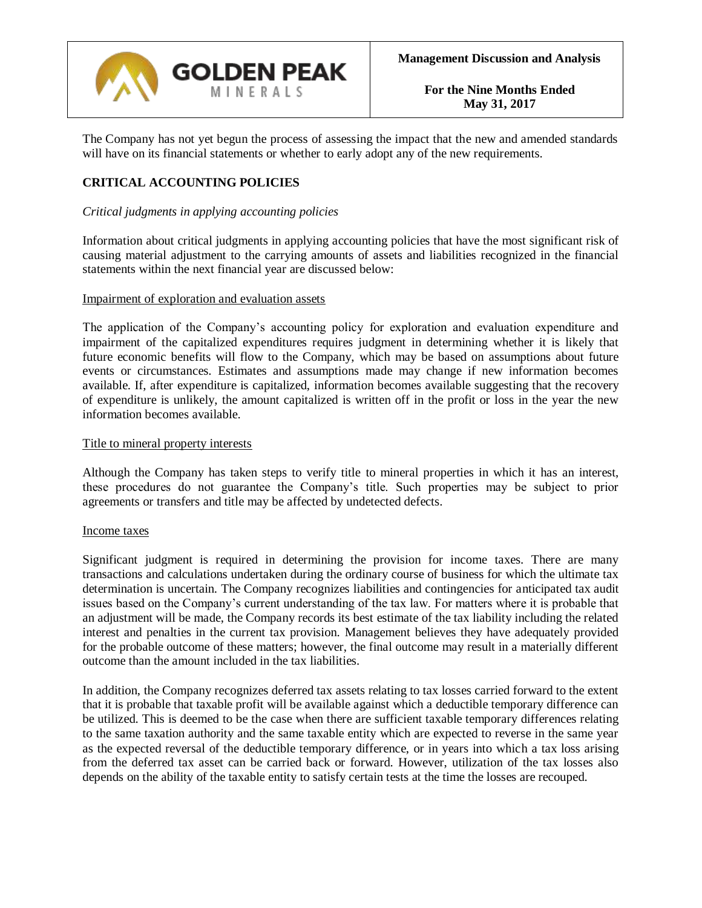

The Company has not yet begun the process of assessing the impact that the new and amended standards will have on its financial statements or whether to early adopt any of the new requirements.

# **CRITICAL ACCOUNTING POLICIES**

## *Critical judgments in applying accounting policies*

Information about critical judgments in applying accounting policies that have the most significant risk of causing material adjustment to the carrying amounts of assets and liabilities recognized in the financial statements within the next financial year are discussed below:

#### Impairment of exploration and evaluation assets

The application of the Company's accounting policy for exploration and evaluation expenditure and impairment of the capitalized expenditures requires judgment in determining whether it is likely that future economic benefits will flow to the Company, which may be based on assumptions about future events or circumstances. Estimates and assumptions made may change if new information becomes available. If, after expenditure is capitalized, information becomes available suggesting that the recovery of expenditure is unlikely, the amount capitalized is written off in the profit or loss in the year the new information becomes available.

#### Title to mineral property interests

Although the Company has taken steps to verify title to mineral properties in which it has an interest, these procedures do not guarantee the Company's title. Such properties may be subject to prior agreements or transfers and title may be affected by undetected defects.

#### Income taxes

Significant judgment is required in determining the provision for income taxes. There are many transactions and calculations undertaken during the ordinary course of business for which the ultimate tax determination is uncertain. The Company recognizes liabilities and contingencies for anticipated tax audit issues based on the Company's current understanding of the tax law. For matters where it is probable that an adjustment will be made, the Company records its best estimate of the tax liability including the related interest and penalties in the current tax provision. Management believes they have adequately provided for the probable outcome of these matters; however, the final outcome may result in a materially different outcome than the amount included in the tax liabilities.

In addition, the Company recognizes deferred tax assets relating to tax losses carried forward to the extent that it is probable that taxable profit will be available against which a deductible temporary difference can be utilized. This is deemed to be the case when there are sufficient taxable temporary differences relating to the same taxation authority and the same taxable entity which are expected to reverse in the same year as the expected reversal of the deductible temporary difference, or in years into which a tax loss arising from the deferred tax asset can be carried back or forward. However, utilization of the tax losses also depends on the ability of the taxable entity to satisfy certain tests at the time the losses are recouped.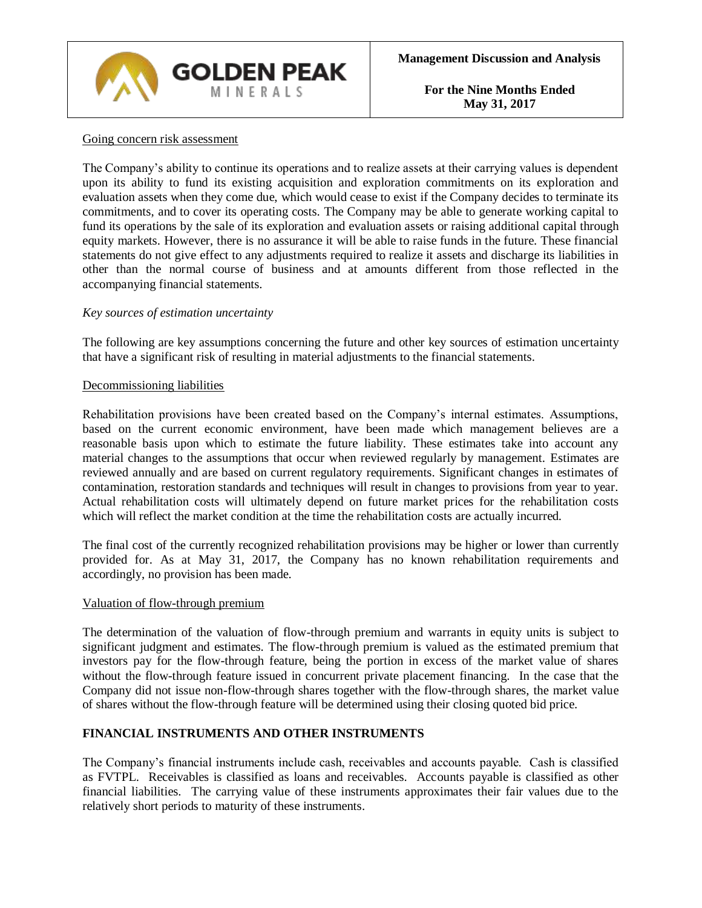

## Going concern risk assessment

The Company's ability to continue its operations and to realize assets at their carrying values is dependent upon its ability to fund its existing acquisition and exploration commitments on its exploration and evaluation assets when they come due, which would cease to exist if the Company decides to terminate its commitments, and to cover its operating costs. The Company may be able to generate working capital to fund its operations by the sale of its exploration and evaluation assets or raising additional capital through equity markets. However, there is no assurance it will be able to raise funds in the future. These financial statements do not give effect to any adjustments required to realize it assets and discharge its liabilities in other than the normal course of business and at amounts different from those reflected in the accompanying financial statements.

## *Key sources of estimation uncertainty*

The following are key assumptions concerning the future and other key sources of estimation uncertainty that have a significant risk of resulting in material adjustments to the financial statements.

#### Decommissioning liabilities

Rehabilitation provisions have been created based on the Company's internal estimates. Assumptions, based on the current economic environment, have been made which management believes are a reasonable basis upon which to estimate the future liability. These estimates take into account any material changes to the assumptions that occur when reviewed regularly by management. Estimates are reviewed annually and are based on current regulatory requirements. Significant changes in estimates of contamination, restoration standards and techniques will result in changes to provisions from year to year. Actual rehabilitation costs will ultimately depend on future market prices for the rehabilitation costs which will reflect the market condition at the time the rehabilitation costs are actually incurred.

The final cost of the currently recognized rehabilitation provisions may be higher or lower than currently provided for. As at May 31, 2017, the Company has no known rehabilitation requirements and accordingly, no provision has been made.

#### Valuation of flow-through premium

The determination of the valuation of flow-through premium and warrants in equity units is subject to significant judgment and estimates. The flow-through premium is valued as the estimated premium that investors pay for the flow-through feature, being the portion in excess of the market value of shares without the flow-through feature issued in concurrent private placement financing. In the case that the Company did not issue non-flow-through shares together with the flow-through shares, the market value of shares without the flow-through feature will be determined using their closing quoted bid price.

#### **FINANCIAL INSTRUMENTS AND OTHER INSTRUMENTS**

The Company's financial instruments include cash, receivables and accounts payable. Cash is classified as FVTPL. Receivables is classified as loans and receivables. Accounts payable is classified as other financial liabilities. The carrying value of these instruments approximates their fair values due to the relatively short periods to maturity of these instruments.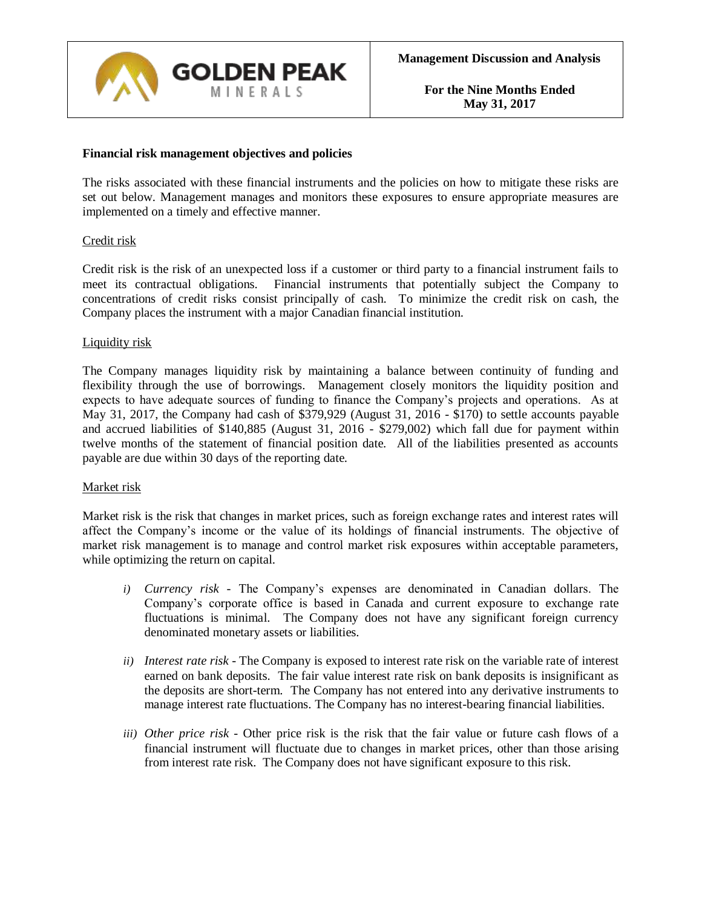

#### **Financial risk management objectives and policies**

The risks associated with these financial instruments and the policies on how to mitigate these risks are set out below. Management manages and monitors these exposures to ensure appropriate measures are implemented on a timely and effective manner.

#### Credit risk

Credit risk is the risk of an unexpected loss if a customer or third party to a financial instrument fails to meet its contractual obligations. Financial instruments that potentially subject the Company to concentrations of credit risks consist principally of cash. To minimize the credit risk on cash, the Company places the instrument with a major Canadian financial institution.

#### Liquidity risk

The Company manages liquidity risk by maintaining a balance between continuity of funding and flexibility through the use of borrowings. Management closely monitors the liquidity position and expects to have adequate sources of funding to finance the Company's projects and operations. As at May 31, 2017, the Company had cash of \$379,929 (August 31, 2016 - \$170) to settle accounts payable and accrued liabilities of \$140,885 (August 31, 2016 - \$279,002) which fall due for payment within twelve months of the statement of financial position date. All of the liabilities presented as accounts payable are due within 30 days of the reporting date.

#### Market risk

Market risk is the risk that changes in market prices, such as foreign exchange rates and interest rates will affect the Company's income or the value of its holdings of financial instruments. The objective of market risk management is to manage and control market risk exposures within acceptable parameters, while optimizing the return on capital.

- *i) Currency risk -* The Company's expenses are denominated in Canadian dollars. The Company's corporate office is based in Canada and current exposure to exchange rate fluctuations is minimal. The Company does not have any significant foreign currency denominated monetary assets or liabilities.
- *ii) Interest rate risk -* The Company is exposed to interest rate risk on the variable rate of interest earned on bank deposits. The fair value interest rate risk on bank deposits is insignificant as the deposits are short-term. The Company has not entered into any derivative instruments to manage interest rate fluctuations. The Company has no interest-bearing financial liabilities.
- *iii) Other price risk -* Other price risk is the risk that the fair value or future cash flows of a financial instrument will fluctuate due to changes in market prices, other than those arising from interest rate risk. The Company does not have significant exposure to this risk.